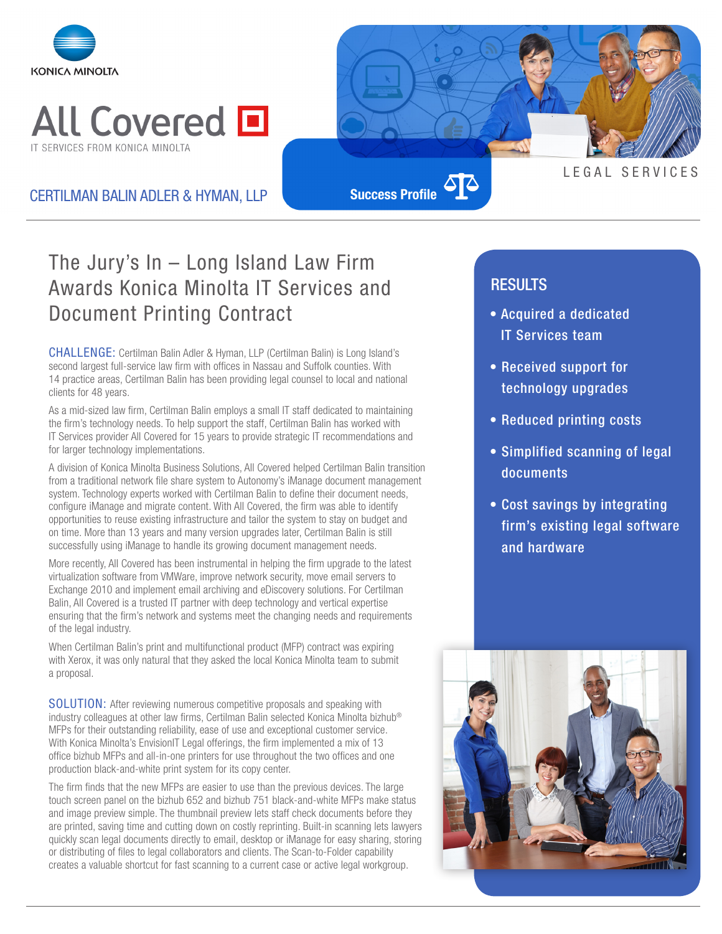



### CERTILMAN BALIN ADLER & HYMAN, LLP

**Success Profile**

# The Jury's In – Long Island Law Firm Awards Konica Minolta IT Services and Document Printing Contract

CHALLENGE: Certilman Balin Adler & Hyman, LLP (Certilman Balin) is Long Island's second largest full-service law firm with offices in Nassau and Suffolk counties. With 14 practice areas, Certilman Balin has been providing legal counsel to local and national clients for 48 years.

As a mid-sized law firm, Certilman Balin employs a small IT staff dedicated to maintaining the firm's technology needs. To help support the staff, Certilman Balin has worked with IT Services provider All Covered for 15 years to provide strategic IT recommendations and for larger technology implementations.

A division of Konica Minolta Business Solutions, All Covered helped Certilman Balin transition from a traditional network file share system to Autonomy's iManage document management system. Technology experts worked with Certilman Balin to define their document needs, configure iManage and migrate content. With All Covered, the firm was able to identify opportunities to reuse existing infrastructure and tailor the system to stay on budget and on time. More than 13 years and many version upgrades later, Certilman Balin is still successfully using iManage to handle its growing document management needs.

More recently, All Covered has been instrumental in helping the firm upgrade to the latest virtualization software from VMWare, improve network security, move email servers to Exchange 2010 and implement email archiving and eDiscovery solutions. For Certilman Balin, All Covered is a trusted IT partner with deep technology and vertical expertise ensuring that the firm's network and systems meet the changing needs and requirements of the legal industry.

When Certilman Balin's print and multifunctional product (MFP) contract was expiring with Xerox, it was only natural that they asked the local Konica Minolta team to submit a proposal.

SOLUTION: After reviewing numerous competitive proposals and speaking with industry colleagues at other law firms, Certilman Balin selected Konica Minolta bizhub® MFPs for their outstanding reliability, ease of use and exceptional customer service. With Konica Minolta's EnvisionIT Legal offerings, the firm implemented a mix of 13 office bizhub MFPs and all-in-one printers for use throughout the two offices and one production black-and-white print system for its copy center.

The firm finds that the new MFPs are easier to use than the previous devices. The large touch screen panel on the bizhub 652 and bizhub 751 black-and-white MFPs make status and image preview simple. The thumbnail preview lets staff check documents before they are printed, saving time and cutting down on costly reprinting. Built-in scanning lets lawyers quickly scan legal documents directly to email, desktop or iManage for easy sharing, storing or distributing of files to legal collaborators and clients. The Scan-to-Folder capability creates a valuable shortcut for fast scanning to a current case or active legal workgroup.

## RESULTS

• Acquired a dedicated IT Services team

LEGAL SERVICES

- Received support for technology upgrades
- Reduced printing costs
- Simplified scanning of legal documents
- Cost savings by integrating firm's existing legal software and hardware